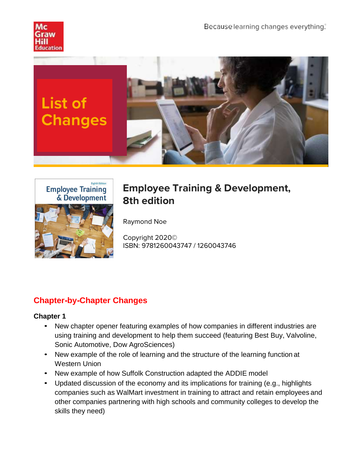



# **Employee Training & Development, 8th edition**

Raymond Noe

Copyright 2020© ISBN: 9781260043747 / 1260043746

## **Chapter-by-Chapter Changes**

- New chapter opener featuring examples of how companies in different industries are using training and development to help them succeed (featuring Best Buy, Valvoline, Sonic Automotive, Dow AgroSciences)
- New example of the role of learning and the structure of the learning function at Western Union
- New example of how Suffolk Construction adapted the ADDIE model
- Updated discussion of the economy and its implications for training (e.g., highlights companies such as WalMart investment in training to attract and retain employees and other companies partnering with high schools and community colleges to develop the skills they need)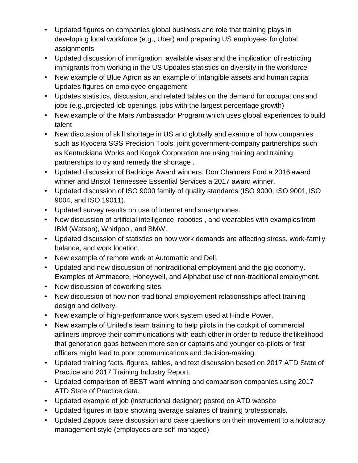- Updated figures on companies global business and role that training plays in developing local workforce (e.g., Uber) and preparing US employees for global assignments
- Updated discussion of immigration, available visas and the implication of restricting immigrants from working in the US Updates statistics on diversity in the workforce
- New example of Blue Apron as an example of intangible assets and human capital Updates figures on employee engagement
- Updates statistics, discussion, and related tables on the demand for occupations and jobs (e.g.,projected job openings, jobs with the largest percentage growth)
- New example of the Mars Ambassador Program which uses global experiences to build talent
- New discussion of skill shortage in US and globally and example of how companies such as Kyocera SGS Precision Tools, joint government-company partnerships such as Kentuckiana Works and Kogok Corporation are using training and training partnerships to try and remedy the shortage .
- Updated discussion of Badridge Award winners: Don Chalmers Ford a 2016 award winner and Bristol Tennessee Essential Services a 2017 award winner.
- Updated discussion of ISO 9000 family of quality standards (ISO 9000, ISO 9001, ISO 9004, and ISO 19011).
- Updated survey results on use of internet and smartphones.
- New discussion of artificial intelligence, robotics , and wearables with examples from IBM (Watson), Whirlpool, and BMW.
- Updated discussion of statistics on how work demands are affecting stress, work-family balance, and work location.
- New example of remote work at Automattic and Dell.
- Updated and new discussion of nontraditional employment and the gig economy. Examples of Ammacore, Honeywell, and Alphabet use of non-traditional employment.
- New discussion of coworking sites.
- New discussion of how non-traditional employement relationsships affect training design and delivery.
- New example of high-performance work system used at Hindle Power.
- New example of United's team training to help pilots in the cockpit of commercial airliners improve their communications with each other in order to reduce the likelihood that generation gaps between more senior captains and younger co-pilots or first officers might lead to poor communications and decision-making.
- Updated training facts, figures, tables, and text discussion based on 2017 ATD State of Practice and 2017 Training Industry Report.
- Updated comparison of BEST ward winning and comparison companies using 2017 ATD State of Practice data.
- Updated example of job (instructional designer) posted on ATD website
- Updated figures in table showing average salaries of training professionals.
- Updated Zappos case discussion and case questions on their movement to a holocracy management style (employees are self-managed)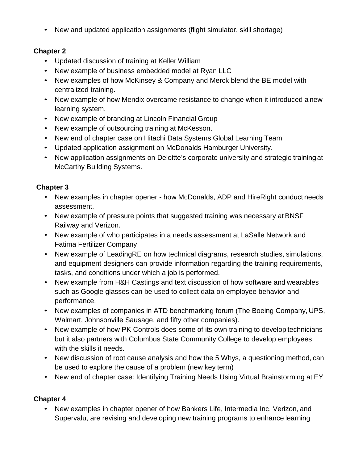• New and updated application assignments (flight simulator, skill shortage)

## **Chapter 2**

- Updated discussion of training at Keller William
- New example of business embedded model at Ryan LLC
- New examples of how McKinsey & Company and Merck blend the BE model with centralized training.
- New example of how Mendix overcame resistance to change when it introduced a new learning system.
- New example of branding at Lincoln Financial Group
- New example of outsourcing training at McKesson.
- New end of chapter case on Hitachi Data Systems Global Learning Team
- Updated application assignment on McDonalds Hamburger University.
- New application assignments on Deloitte's corporate university and strategic training at McCarthy Building Systems.

## **Chapter 3**

- New examples in chapter opener how McDonalds, ADP and HireRight conduct needs assessment.
- New example of pressure points that suggested training was necessary at BNSF Railway and Verizon.
- New example of who participates in a needs assessment at LaSalle Network and Fatima Fertilizer Company
- New example of LeadingRE on how technical diagrams, research studies, simulations, and equipment designers can provide information regarding the training requirements, tasks, and conditions under which a job is performed.
- New example from H&H Castings and text discussion of how software and wearables such as Google glasses can be used to collect data on employee behavior and performance.
- New examples of companies in ATD benchmarking forum (The Boeing Company, UPS, Walmart, Johnsonville Sausage, and fifty other companies).
- New example of how PK Controls does some of its own training to develop technicians but it also partners with Columbus State Community College to develop employees with the skills it needs.
- New discussion of root cause analysis and how the 5 Whys, a questioning method, can be used to explore the cause of a problem (new key term)
- New end of chapter case: Identifying Training Needs Using Virtual Brainstorming at EY

#### **Chapter 4**

• New examples in chapter opener of how Bankers Life, Intermedia Inc, Verizon, and Supervalu, are revising and developing new training programs to enhance learning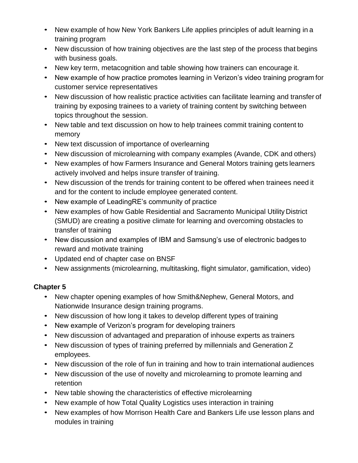- New example of how New York Bankers Life applies principles of adult learning in a training program
- New discussion of how training objectives are the last step of the process that begins with business goals.
- New key term, metacognition and table showing how trainers can encourage it.
- New example of how practice promotes learning in Verizon's video training program for customer service representatives
- New discussion of how realistic practice activities can facilitate learning and transfer of training by exposing trainees to a variety of training content by switching between topics throughout the session.
- New table and text discussion on how to help trainees commit training content to memory
- New text discussion of importance of overlearning
- New discussion of microlearning with company examples (Avande, CDK and others)
- New examples of how Farmers Insurance and General Motors training gets learners actively involved and helps insure transfer of training.
- New discussion of the trends for training content to be offered when trainees need it and for the content to include employee generated content.
- New example of LeadingRE's community of practice
- New examples of how Gable Residential and Sacramento Municipal Utility District (SMUD) are creating a positive climate for learning and overcoming obstacles to transfer of training
- New discussion and examples of IBM and Samsung's use of electronic badges to reward and motivate training
- Updated end of chapter case on BNSF
- New assignments (microlearning, multitasking, flight simulator, gamification, video)

- New chapter opening examples of how Smith&Nephew, General Motors, and Nationwide Insurance design training programs.
- New discussion of how long it takes to develop different types of training
- New example of Verizon's program for developing trainers
- New discussion of advantaged and preparation of inhouse experts as trainers
- New discussion of types of training preferred by millennials and Generation Z employees.
- New discussion of the role of fun in training and how to train international audiences
- New discussion of the use of novelty and microlearning to promote learning and retention
- New table showing the characteristics of effective microlearning
- New example of how Total Quality Logistics uses interaction in training
- New examples of how Morrison Health Care and Bankers Life use lesson plans and modules in training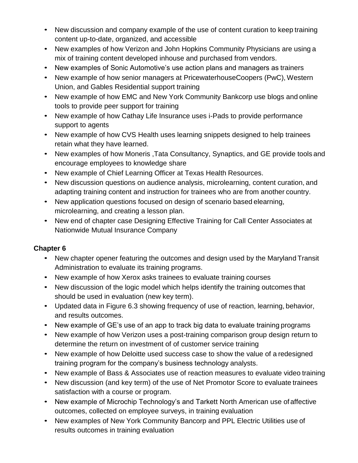- New discussion and company example of the use of content curation to keep training content up-to-date, organized, and accessible
- New examples of how Verizon and John Hopkins Community Physicians are using a mix of training content developed inhouse and purchased from vendors.
- New examples of Sonic Automotive's use action plans and managers as trainers
- New example of how senior managers at PricewaterhouseCoopers (PwC), Western Union, and Gables Residential support training
- New example of how EMC and New York Community Bankcorp use blogs and online tools to provide peer support for training
- New example of how Cathay Life Insurance uses i-Pads to provide performance support to agents
- New example of how CVS Health uses learning snippets designed to help trainees retain what they have learned.
- New examples of how Moneris ,Tata Consultancy, Synaptics, and GE provide tools and encourage employees to knowledge share
- New example of Chief Learning Officer at Texas Health Resources.
- New discussion questions on audience analysis, microlearning, content curation, and adapting training content and instruction for trainees who are from another country.
- New application questions focused on design of scenario based elearning, microlearning, and creating a lesson plan.
- New end of chapter case Designing Effective Training for Call Center Associates at Nationwide Mutual Insurance Company

- New chapter opener featuring the outcomes and design used by the Maryland Transit Administration to evaluate its training programs.
- New example of how Xerox asks trainees to evaluate training courses
- New discussion of the logic model which helps identify the training outcomes that should be used in evaluation (new key term).
- Updated data in Figure 6.3 showing frequency of use of reaction, learning, behavior, and results outcomes.
- New example of GE's use of an app to track big data to evaluate training programs
- New example of how Verizon uses a post-training comparison group design return to determine the return on investment of of customer service training
- New example of how Deloitte used success case to show the value of a redesigned training program for the company's business technology analysts.
- New example of Bass & Associates use of reaction measures to evaluate video training
- New discussion (and key term) of the use of Net Promotor Score to evaluate trainees satisfaction with a course or program.
- New example of Microchip Technology's and Tarkett North American use of affective outcomes, collected on employee surveys, in training evaluation
- New examples of New York Community Bancorp and PPL Electric Utilities use of results outcomes in training evaluation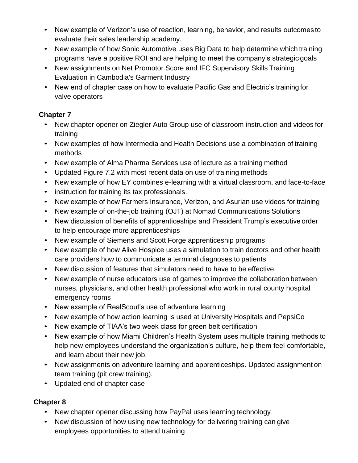- New example of Verizon's use of reaction, learning, behavior, and results outcomes to evaluate their sales leadership academy.
- New example of how Sonic Automotive uses Big Data to help determine which training programs have a positive ROI and are helping to meet the company's strategic goals
- New assignments on Net Promotor Score and IFC Supervisory Skills Training Evaluation in Cambodia's Garment Industry
- New end of chapter case on how to evaluate Pacific Gas and Electric's training for valve operators

- New chapter opener on Ziegler Auto Group use of classroom instruction and videos for training
- New examples of how Intermedia and Health Decisions use a combination of training methods
- New example of Alma Pharma Services use of lecture as a training method
- Updated Figure 7.2 with most recent data on use of training methods
- New example of how EY combines e-learning with a virtual classroom, and face-to-face
- instruction for training its tax professionals.
- New example of how Farmers Insurance, Verizon, and Asurian use videos for training
- New example of on-the-job training (OJT) at Nomad Communications Solutions
- New discussion of benefits of apprenticeships and President Trump's executive order to help encourage more apprenticeships
- New example of Siemens and Scott Forge apprenticeship programs
- New example of how Alive Hospice uses a simulation to train doctors and other health care providers how to communicate a terminal diagnoses to patients
- New discussion of features that simulators need to have to be effective.
- New example of nurse educators use of games to improve the collaboration between nurses, physicians, and other health professional who work in rural county hospital emergency rooms
- New example of RealScout's use of adventure learning
- New example of how action learning is used at University Hospitals and PepsiCo
- New example of TIAA's two week class for green belt certification
- New example of how Miami Children's Health System uses multiple training methods to help new employees understand the organization's culture, help them feel comfortable, and learn about their new job.
- New assignments on adventure learning and apprenticeships. Updated assignment on team training (pit crew training).
- Updated end of chapter case

- New chapter opener discussing how PayPal uses learning technology
- New discussion of how using new technology for delivering training can give employees opportunities to attend training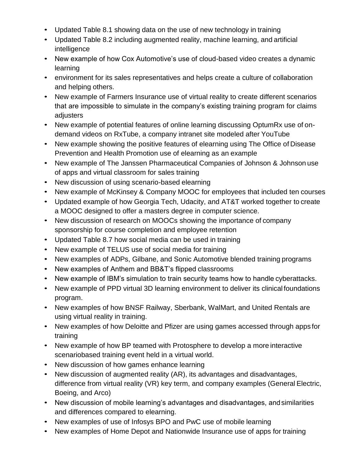- Updated Table 8.1 showing data on the use of new technology in training
- Updated Table 8.2 including augmented reality, machine learning, and artificial intelligence
- New example of how Cox Automotive's use of cloud-based video creates a dynamic learning
- environment for its sales representatives and helps create a culture of collaboration and helping others.
- New example of Farmers Insurance use of virtual reality to create different scenarios that are impossible to simulate in the company's existing training program for claims adjusters
- New example of potential features of online learning discussing OptumRx use of ondemand videos on RxTube, a company intranet site modeled after YouTube
- New example showing the positive features of elearning using The Office of Disease Prevention and Health Promotion use of elearning as an example
- New example of The Janssen Pharmaceutical Companies of Johnson & Johnson use of apps and virtual classroom for sales training
- New discussion of using scenario-based elearning
- New example of McKinsey & Company MOOC for employees that included ten courses
- Updated example of how Georgia Tech, Udacity, and AT&T worked together to create a MOOC designed to offer a masters degree in computer science.
- New discussion of research on MOOCs showing the importance of company sponsorship for course completion and employee retention
- Updated Table 8.7 how social media can be used in training
- New example of TELUS use of social media for training
- New examples of ADPs, Gilbane, and Sonic Automotive blended training programs
- New examples of Anthem and BB&T's flipped classrooms
- New example of IBM's simulation to train security teams how to handle cyberattacks.
- New example of PPD virtual 3D learning environment to deliver its clinical foundations program.
- New examples of how BNSF Railway, Sberbank, WalMart, and United Rentals are using virtual reality in training.
- New examples of how Deloitte and Pfizer are using games accessed through apps for training
- New example of how BP teamed with Protosphere to develop a more interactive scenariobased training event held in a virtual world.
- New discussion of how games enhance learning
- New discussion of augmented reality (AR), its advantages and disadvantages, difference from virtual reality (VR) key term, and company examples (General Electric, Boeing, and Arco)
- New discussion of mobile learning's advantages and disadvantages, and similarities and differences compared to elearning.
- New examples of use of Infosys BPO and PwC use of mobile learning
- New examples of Home Depot and Nationwide Insurance use of apps for training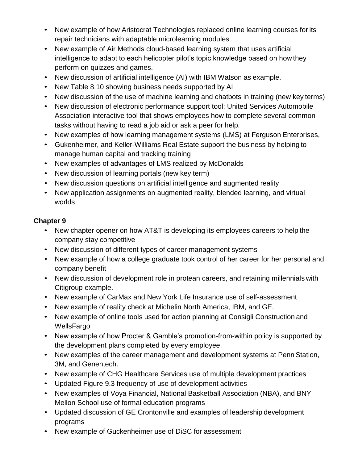- New example of how Aristocrat Technologies replaced online learning courses for its repair technicians with adaptable microlearning modules
- New example of Air Methods cloud-based learning system that uses artificial intelligence to adapt to each helicopter pilot's topic knowledge based on how they perform on quizzes and games.
- New discussion of artificial intelligence (AI) with IBM Watson as example.
- New Table 8.10 showing business needs supported by AI
- New discussion of the use of machine learning and chatbots in training (new key terms)
- New discussion of electronic performance support tool: United Services Automobile Association interactive tool that shows employees how to complete several common tasks without having to read a job aid or ask a peer for help.
- New examples of how learning management systems (LMS) at Ferguson Enterprises,
- Gukenheimer, and Keller-Williams Real Estate support the business by helping to manage human capital and tracking training
- New examples of advantages of LMS realized by McDonalds
- New discussion of learning portals (new key term)
- New discussion questions on artificial intelligence and augmented reality
- New application assignments on augmented reality, blended learning, and virtual worlds

- New chapter opener on how AT&T is developing its employees careers to help the company stay competitive
- New discussion of different types of career management systems
- New example of how a college graduate took control of her career for her personal and company benefit
- New discussion of development role in protean careers, and retaining millennials with Citigroup example.
- New example of CarMax and New York Life Insurance use of self-assessment
- New example of reality check at Michelin North America, IBM, and GE.
- New example of online tools used for action planning at Consigli Construction and WellsFargo
- New example of how Procter & Gamble's promotion-from-within policy is supported by the development plans completed by every employee.
- New examples of the career management and development systems at Penn Station, 3M, and Genentech.
- New example of CHG Healthcare Services use of multiple development practices
- Updated Figure 9.3 frequency of use of development activities
- New examples of Voya Financial, National Basketball Association (NBA), and BNY Mellon School use of formal education programs
- Updated discussion of GE Crontonville and examples of leadership development programs
- New example of Guckenheimer use of DiSC for assessment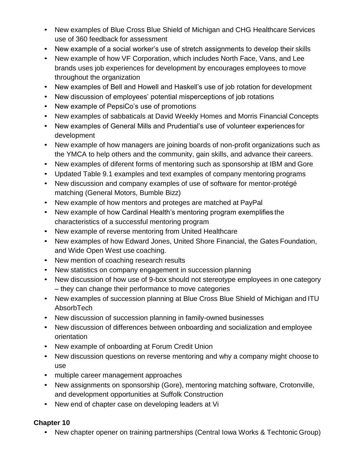- New examples of Blue Cross Blue Shield of Michigan and CHG Healthcare Services use of 360 feedback for assessment
- New example of a social worker's use of stretch assignments to develop their skills
- New example of how VF Corporation, which includes North Face, Vans, and Lee brands uses job experiences for development by encourages employees to move throughout the organization
- New examples of Bell and Howell and Haskell's use of job rotation for development
- New discussion of employees' potential misperceptions of job rotations
- New example of PepsiCo's use of promotions
- New examples of sabbaticals at David Weekly Homes and Morris Financial Concepts
- New examples of General Mills and Prudential's use of volunteer experiences for development
- New example of how managers are joining boards of non-profit organizations such as the YMCA to help others and the community, gain skills, and advance their careers.
- New examples of diferent forms of mentoring such as sponsorship at IBM and Gore
- Updated Table 9.1 examples and text examples of company mentoring programs
- New discussion and company examples of use of software for mentor-protégé matching (General Motors, Bumble Bizz)
- New example of how mentors and proteges are matched at PayPal
- New example of how Cardinal Health's mentoring program exemplifies the characteristics of a successful mentoring program
- New example of reverse mentoring from United Healthcare
- New examples of how Edward Jones, United Shore Financial, the Gates Foundation, and Wide Open West use coaching.
- New mention of coaching research results
- New statistics on company engagement in succession planning
- New discussion of how use of 9-box should not stereotype employees in one category – they can change their performance to move categories
- New examples of succession planning at Blue Cross Blue Shield of Michigan and ITU AbsorbTech
- New discussion of succession planning in family-owned businesses
- New discussion of differences between onboarding and socialization and employee orientation
- New example of onboarding at Forum Credit Union
- New discussion questions on reverse mentoring and why a company might choose to use
- multiple career management approaches
- New assignments on sponsorship (Gore), mentoring matching software, Crotonville, and development opportunities at Suffolk Construction
- New end of chapter case on developing leaders at Vi

• New chapter opener on training partnerships (Central Iowa Works & Techtonic Group)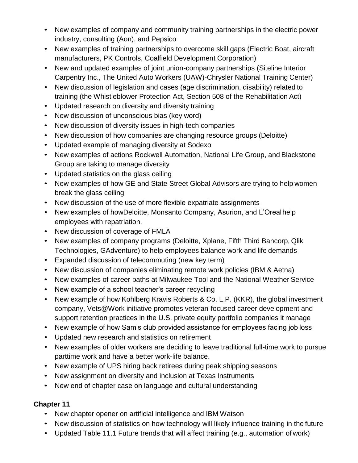- New examples of company and community training partnerships in the electric power industry, consulting (Aon), and Pepsico
- New examples of training partnerships to overcome skill gaps (Electric Boat. aircraft manufacturers, PK Controls, Coalfield Development Corporation)
- New and updated examples of joint union-company partnerships (Siteline Interior Carpentry Inc., The United Auto Workers (UAW)-Chrysler National Training Center)
- New discussion of legislation and cases (age discrimination, disability) related to training (the Whistleblower Protection Act, Section 508 of the Rehabilitation Act)
- Updated research on diversity and diversity training
- New discussion of unconscious bias (key word)
- New discussion of diversity issues in high-tech companies
- New discussion of how companies are changing resource groups (Deloitte)
- Updated example of managing diversity at Sodexo
- New examples of actions Rockwell Automation, National Life Group, and Blackstone Group are taking to manage diversity
- Updated statistics on the glass ceiling
- New examples of how GE and State Street Global Advisors are trying to help women break the glass ceiling
- New discussion of the use of more flexible expatriate assignments
- New examples of howDeloitte, Monsanto Company, Asurion, and L'Orealhelp employees with repatriation.
- New discussion of coverage of FMLA
- New examples of company programs (Deloitte, Xplane, Fifth Third Bancorp, Qlik Technologies, GAdventure) to help employees balance work and life demands
- Expanded discussion of telecommuting (new key term)
- New discussion of companies eliminating remote work policies (IBM & Aetna)
- New examples of career paths at Milwaukee Tool and the National Weather Service
- New example of a school teacher's career recycling
- New example of how Kohlberg Kravis Roberts & Co. L.P. (KKR), the global investment company, Vets@Work initiative promotes veteran-focused career development and support retention practices in the U.S. private equity portfolio companies it manage
- New example of how Sam's club provided assistance for employees facing job loss
- Updated new research and statistics on retirement
- New examples of older workers are deciding to leave traditional full-time work to pursue parttime work and have a better work-life balance.
- New example of UPS hiring back retirees during peak shipping seasons
- New assignment on diversity and inclusion at Texas Instruments
- New end of chapter case on language and cultural understanding

- New chapter opener on artificial intelligence and IBM Watson
- New discussion of statistics on how technology will likely influence training in the future
- Updated Table 11.1 Future trends that will affect training (e.g., automation of work)